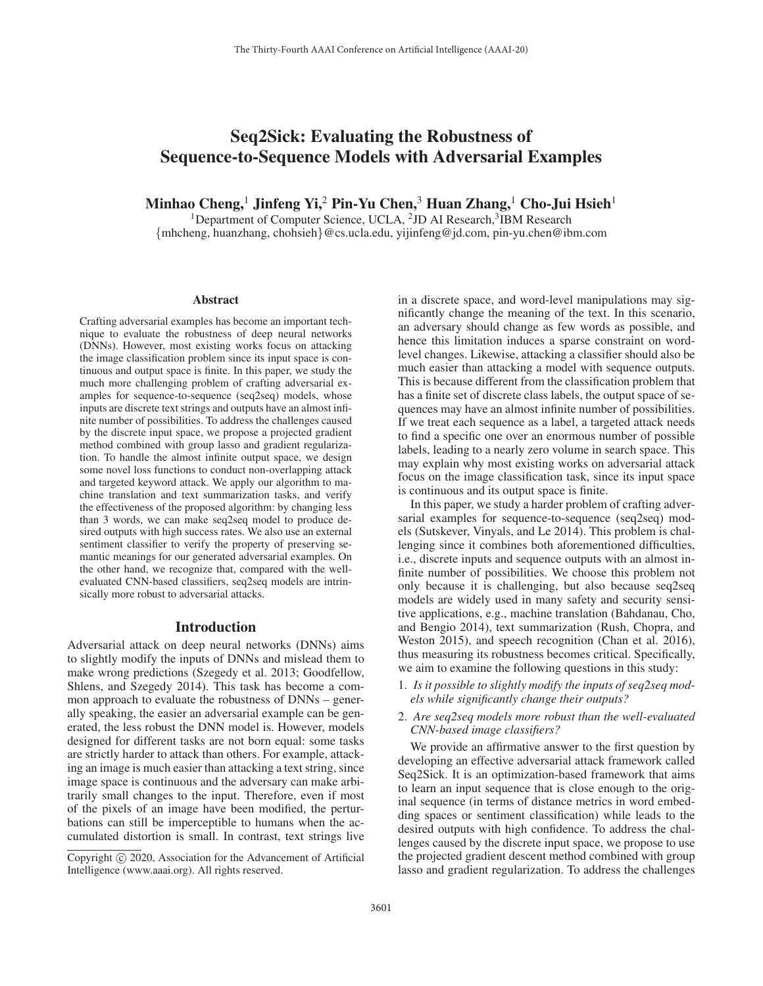# Seq2Sick: Evaluating the Robustness of Sequence-to-Sequence Models with Adversarial Examples

Minhao Cheng,<sup>1</sup> Jinfeng Yi,<sup>2</sup> Pin-Yu Chen,<sup>3</sup> Huan Zhang,<sup>1</sup> Cho-Jui Hsieh<sup>1</sup>

<sup>1</sup>Department of Computer Science, UCLA,  $^{2}$ JD AI Research,  $^{3}$ IBM Research {mhcheng, huanzhang, chohsieh}@cs.ucla.edu, yijinfeng@jd.com, pin-yu.chen@ibm.com

#### Abstract

Crafting adversarial examples has become an important technique to evaluate the robustness of deep neural networks (DNNs). However, most existing works focus on attacking the image classification problem since its input space is continuous and output space is finite. In this paper, we study the much more challenging problem of crafting adversarial examples for sequence-to-sequence (seq2seq) models, whose inputs are discrete text strings and outputs have an almost infinite number of possibilities. To address the challenges caused by the discrete input space, we propose a projected gradient method combined with group lasso and gradient regularization. To handle the almost infinite output space, we design some novel loss functions to conduct non-overlapping attack and targeted keyword attack. We apply our algorithm to machine translation and text summarization tasks, and verify the effectiveness of the proposed algorithm: by changing less than 3 words, we can make seq2seq model to produce desired outputs with high success rates. We also use an external sentiment classifier to verify the property of preserving semantic meanings for our generated adversarial examples. On the other hand, we recognize that, compared with the wellevaluated CNN-based classifiers, seq2seq models are intrinsically more robust to adversarial attacks.

#### Introduction

Adversarial attack on deep neural networks (DNNs) aims to slightly modify the inputs of DNNs and mislead them to make wrong predictions (Szegedy et al. 2013; Goodfellow, Shlens, and Szegedy 2014). This task has become a common approach to evaluate the robustness of DNNs – generally speaking, the easier an adversarial example can be generated, the less robust the DNN model is. However, models designed for different tasks are not born equal: some tasks are strictly harder to attack than others. For example, attacking an image is much easier than attacking a text string, since image space is continuous and the adversary can make arbitrarily small changes to the input. Therefore, even if most of the pixels of an image have been modified, the perturbations can still be imperceptible to humans when the accumulated distortion is small. In contrast, text strings live

in a discrete space, and word-level manipulations may significantly change the meaning of the text. In this scenario, an adversary should change as few words as possible, and hence this limitation induces a sparse constraint on wordlevel changes. Likewise, attacking a classifier should also be much easier than attacking a model with sequence outputs. This is because different from the classification problem that has a finite set of discrete class labels, the output space of sequences may have an almost infinite number of possibilities. If we treat each sequence as a label, a targeted attack needs to find a specific one over an enormous number of possible labels, leading to a nearly zero volume in search space. This may explain why most existing works on adversarial attack focus on the image classification task, since its input space is continuous and its output space is finite.

In this paper, we study a harder problem of crafting adversarial examples for sequence-to-sequence (seq2seq) models (Sutskever, Vinyals, and Le 2014). This problem is challenging since it combines both aforementioned difficulties, i.e., discrete inputs and sequence outputs with an almost infinite number of possibilities. We choose this problem not only because it is challenging, but also because seq2seq models are widely used in many safety and security sensitive applications, e.g., machine translation (Bahdanau, Cho, and Bengio 2014), text summarization (Rush, Chopra, and Weston 2015), and speech recognition (Chan et al. 2016), thus measuring its robustness becomes critical. Specifically, we aim to examine the following questions in this study:

- 1. *Is it possible to slightly modify the inputs of seq2seq models while significantly change their outputs?*
- 2. *Are seq2seq models more robust than the well-evaluated CNN-based image classifiers?*

We provide an affirmative answer to the first question by developing an effective adversarial attack framework called Seq2Sick. It is an optimization-based framework that aims to learn an input sequence that is close enough to the original sequence (in terms of distance metrics in word embedding spaces or sentiment classification) while leads to the desired outputs with high confidence. To address the challenges caused by the discrete input space, we propose to use the projected gradient descent method combined with group lasso and gradient regularization. To address the challenges

Copyright  $\odot$  2020, Association for the Advancement of Artificial Intelligence (www.aaai.org). All rights reserved.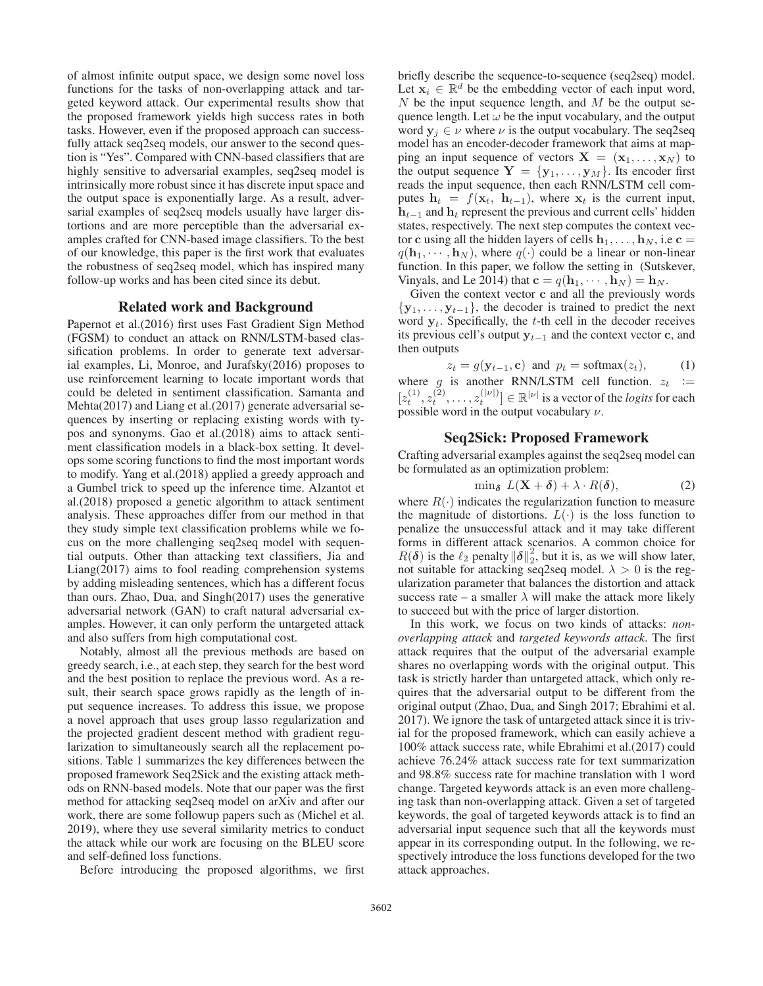of almost infinite output space, we design some novel loss functions for the tasks of non-overlapping attack and targeted keyword attack. Our experimental results show that the proposed framework yields high success rates in both tasks. However, even if the proposed approach can successfully attack seq2seq models, our answer to the second question is "Yes". Compared with CNN-based classifiers that are highly sensitive to adversarial examples, seq2seq model is intrinsically more robust since it has discrete input space and the output space is exponentially large. As a result, adversarial examples of seq2seq models usually have larger distortions and are more perceptible than the adversarial examples crafted for CNN-based image classifiers. To the best of our knowledge, this paper is the first work that evaluates the robustness of seq2seq model, which has inspired many follow-up works and has been cited since its debut.

### Related work and Background

Papernot et al.(2016) first uses Fast Gradient Sign Method (FGSM) to conduct an attack on RNN/LSTM-based classification problems. In order to generate text adversarial examples, Li, Monroe, and Jurafsky(2016) proposes to use reinforcement learning to locate important words that could be deleted in sentiment classification. Samanta and Mehta(2017) and Liang et al.(2017) generate adversarial sequences by inserting or replacing existing words with typos and synonyms. Gao et al.(2018) aims to attack sentiment classification models in a black-box setting. It develops some scoring functions to find the most important words to modify. Yang et al.(2018) applied a greedy approach and a Gumbel trick to speed up the inference time. Alzantot et al.(2018) proposed a genetic algorithm to attack sentiment analysis. These approaches differ from our method in that they study simple text classification problems while we focus on the more challenging seq2seq model with sequential outputs. Other than attacking text classifiers, Jia and Liang(2017) aims to fool reading comprehension systems by adding misleading sentences, which has a different focus than ours. Zhao, Dua, and Singh(2017) uses the generative adversarial network (GAN) to craft natural adversarial examples. However, it can only perform the untargeted attack and also suffers from high computational cost.

Notably, almost all the previous methods are based on greedy search, i.e., at each step, they search for the best word and the best position to replace the previous word. As a result, their search space grows rapidly as the length of input sequence increases. To address this issue, we propose a novel approach that uses group lasso regularization and the projected gradient descent method with gradient regularization to simultaneously search all the replacement positions. Table 1 summarizes the key differences between the proposed framework Seq2Sick and the existing attack methods on RNN-based models. Note that our paper was the first method for attacking seq2seq model on arXiv and after our work, there are some followup papers such as (Michel et al. 2019), where they use several similarity metrics to conduct the attack while our work are focusing on the BLEU score and self-defined loss functions.

Before introducing the proposed algorithms, we first

briefly describe the sequence-to-sequence (seq2seq) model. Let  $x_i \in \mathbb{R}^d$  be the embedding vector of each input word,  $N$  be the input sequence length, and  $M$  be the output sequence length. Let  $\omega$  be the input vocabulary, and the output word  $y_j \in \nu$  where  $\nu$  is the output vocabulary. The seq2seq model has an encoder-decoder framework that aims at mapping an input sequence of vectors  $X = (x_1, \ldots, x_N)$  to the output sequence  $Y = \{y_1, \ldots, y_M\}$ . Its encoder first reads the input sequence, then each RNN/LSTM cell computes  $h_t = f(\mathbf{x}_t, \mathbf{h}_{t-1})$ , where  $\mathbf{x}_t$  is the current input, **h**t−<sup>1</sup> and **h**<sup>t</sup> represent the previous and current cells' hidden states, respectively. The next step computes the context vector **c** using all the hidden layers of cells  $\mathbf{h}_1, \ldots, \mathbf{h}_N$ , i.e **c** =  $q(\mathbf{h}_1, \dots, \mathbf{h}_N)$ , where  $q(\cdot)$  could be a linear or non-linear function. In this paper, we follow the setting in (Sutskever, Vinyals, and Le 2014) that  $\mathbf{c} = q(\mathbf{h}_1, \dots, \mathbf{h}_N) = \mathbf{h}_N$ .

Given the context vector **c** and all the previously words {**y**1,..., **y**t−1}, the decoder is trained to predict the next word  $y_t$ . Specifically, the  $t$ -th cell in the decoder receives its previous cell's output **y**t−<sup>1</sup> and the context vector **c**, and then outputs

$$
z_t = g(\mathbf{y}_{t-1}, \mathbf{c})
$$
 and  $p_t = \text{softmax}(z_t)$ , (1)  
is another **PNNA STM cell function**  $z_t$ 

where g is another RNN/LSTM cell function.  $z_t :=$ <br> $\begin{bmatrix} |z| & 2 \end{bmatrix}$   $\begin{bmatrix} |z| & 2 \end{bmatrix}$   $\begin{bmatrix} |z| & 2 \end{bmatrix}$  is a vector of the legits for seek  $[z_t^{(1)}, z_t^{(2)}, \dots, z_t^{(|\nu|)}] \in \mathbb{R}^{|\nu|}$  is a vector of the *logits* for each possible word in the output vocabulary  $\nu$ possible word in the output vocabulary  $\nu$ .

# Seq2Sick: Proposed Framework

Crafting adversarial examples against the seq2seq model can be formulated as an optimization problem:

$$
\min_{\delta} L(\mathbf{X} + \delta) + \lambda \cdot R(\delta), \tag{2}
$$

where  $R(\cdot)$  indicates the regularization function to measure<br>the magnitude of distortions  $L(\cdot)$  is the loss function to the magnitude of distortions.  $L(\cdot)$  is the loss function to penalize the unsuccessful attack and it may take different forms in different attack scenarios. A common choice for  $R(\delta)$  is the  $\ell_2$  penalty  $\|\delta\|_{2}^{2}$ , but it is, as we will show later, not suitable for attacking seq2seq model  $\lambda > 0$  is the regnot suitable for attacking seq2seq model.  $\lambda > 0$  is the regularization parameter that balances the distortion and attack success rate – a smaller  $\lambda$  will make the attack more likely to succeed but with the price of larger distortion.

In this work, we focus on two kinds of attacks: *nonoverlapping attack* and *targeted keywords attack*. The first attack requires that the output of the adversarial example shares no overlapping words with the original output. This task is strictly harder than untargeted attack, which only requires that the adversarial output to be different from the original output (Zhao, Dua, and Singh 2017; Ebrahimi et al. 2017). We ignore the task of untargeted attack since it is trivial for the proposed framework, which can easily achieve a 100% attack success rate, while Ebrahimi et al.(2017) could achieve 76.24% attack success rate for text summarization and 98.8% success rate for machine translation with 1 word change. Targeted keywords attack is an even more challenging task than non-overlapping attack. Given a set of targeted keywords, the goal of targeted keywords attack is to find an adversarial input sequence such that all the keywords must appear in its corresponding output. In the following, we respectively introduce the loss functions developed for the two attack approaches.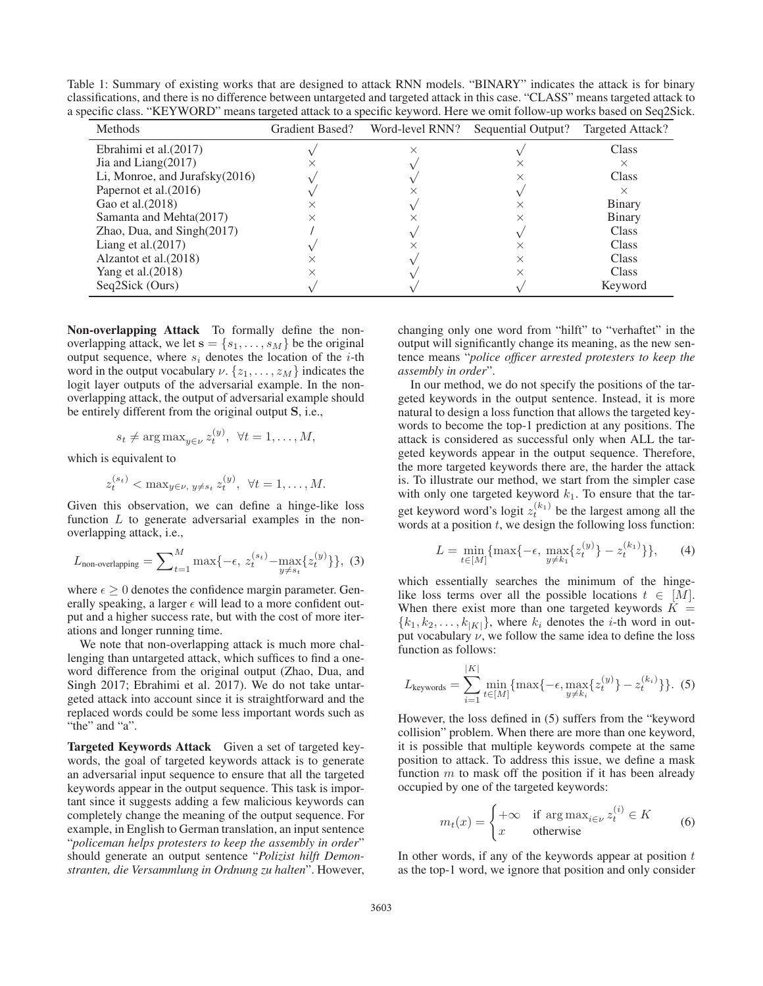Table 1: Summary of existing works that are designed to attack RNN models. "BINARY" indicates the attack is for binary classifications, and there is no difference between untargeted and targeted attack in this case. "CLASS" means targeted attack to a specific class. "KEYWORD" means targeted attack to a specific keyword. Here we omit follow-up works based on Seq2Sick.

| <b>Methods</b>                 | <b>Gradient Based?</b> | Word-level RNN? |                    |                  |
|--------------------------------|------------------------|-----------------|--------------------|------------------|
|                                |                        |                 | Sequential Output? | Targeted Attack? |
| Ebrahimi et al. $(2017)$       |                        |                 |                    | Class            |
| Jia and Liang $(2017)$         |                        |                 |                    | ×                |
| Li, Monroe, and Jurafsky(2016) |                        |                 |                    | Class            |
| Papernot et al. (2016)         |                        |                 |                    | ×                |
| Gao et al. (2018)              |                        |                 |                    | <b>Binary</b>    |
| Samanta and Mehta(2017)        |                        |                 |                    | <b>Binary</b>    |
| Zhao, Dua, and $Singh(2017)$   |                        |                 |                    | Class            |
| Liang et al. $(2017)$          |                        |                 |                    | Class            |
| Alzantot et al. (2018)         |                        |                 |                    | Class            |
| Yang et al. (2018)             |                        |                 |                    | <b>Class</b>     |
| Seq2Sick (Ours)                |                        |                 |                    | Keyword          |

Non-overlapping Attack To formally define the nonoverlapping attack, we let  $\mathbf{s} = \{s_1, \ldots, s_M\}$  be the original output sequence, where  $s_i$  denotes the location of the *i*-th word in the output vocabulary  $\nu$ .  $\{z_1,\ldots,z_M\}$  indicates the logit layer outputs of the adversarial example. In the nonoverlapping attack, the output of adversarial example should be entirely different from the original output **S**, i.e.,

$$
s_t \neq \arg \max_{y \in \nu} z_t^{(y)}, \ \forall t = 1, \dots, M,
$$

which is equivalent to

$$
z_t^{(s_t)} < \max_{y \in \nu, y \neq s_t} z_t^{(y)}, \ \forall t = 1, ..., M.
$$

Given this observation, we can define a hinge-like loss function  $L$  to generate adversarial examples in the nonoverlapping attack, i.e.,

$$
L_{\text{non-overlapping}} = \sum_{t=1}^{M} \max\{-\epsilon, z_t^{(s_t)} - \max_{y \neq s_t} \{z_t^{(y)}\}\},
$$
 (3)

where  $\epsilon \geq 0$  denotes the confidence margin parameter. Generally speaking, a larger  $\epsilon$  will lead to a more confident output and a higher success rate, but with the cost of more iterations and longer running time.

We note that non-overlapping attack is much more challenging than untargeted attack, which suffices to find a oneword difference from the original output (Zhao, Dua, and Singh 2017; Ebrahimi et al. 2017). We do not take untargeted attack into account since it is straightforward and the replaced words could be some less important words such as "the" and "a".

Targeted Keywords Attack Given a set of targeted keywords, the goal of targeted keywords attack is to generate an adversarial input sequence to ensure that all the targeted keywords appear in the output sequence. This task is important since it suggests adding a few malicious keywords can completely change the meaning of the output sequence. For example, in English to German translation, an input sentence "*policeman helps protesters to keep the assembly in order*" should generate an output sentence "*Polizist hilft Demonstranten, die Versammlung in Ordnung zu halten*". However, changing only one word from "hilft" to "verhaftet" in the output will significantly change its meaning, as the new sentence means "*police officer arrested protesters to keep the assembly in order*".

In our method, we do not specify the positions of the targeted keywords in the output sentence. Instead, it is more natural to design a loss function that allows the targeted keywords to become the top-1 prediction at any positions. The attack is considered as successful only when ALL the targeted keywords appear in the output sequence. Therefore, the more targeted keywords there are, the harder the attack is. To illustrate our method, we start from the simpler case with only one targeted keyword  $k_1$ . To ensure that the target keyword word's logit  $z_t^{(k_1)}$  be the largest among all the words at a position  $t$ , we design the following loss function:

$$
L = \min_{t \in [M]} \{ \max\{-\epsilon, \max_{y \neq k_1} \{ z_t^{(y)} \} - z_t^{(k_1)} \} \},\qquad(4)
$$

which essentially searches the minimum of the hingelike loss terms over all the possible locations  $t \in [M]$ . When there exist more than one targeted keywords  $\overrightarrow{K}$  =  ${k_1, k_2,...,k_{|K|}}$ , where  $k_i$  denotes the *i*-th word in output vocabulary  $\nu$ , we follow the same idea to define the loss function as follows:

$$
L_{\text{keywords}} = \sum_{i=1}^{|K|} \min_{t \in [M]} \{ \max\{-\epsilon, \max_{y \neq k_i} \{ z_t^{(y)} \} - z_t^{(k_i)} \} \}.
$$
 (5)

However, the loss defined in (5) suffers from the "keyword collision" problem. When there are more than one keyword, it is possible that multiple keywords compete at the same position to attack. To address this issue, we define a mask function  $m$  to mask off the position if it has been already occupied by one of the targeted keywords:

$$
m_t(x) = \begin{cases} +\infty & \text{if } \arg \max_{i \in \nu} z_t^{(i)} \in K \\ x & \text{otherwise} \end{cases} \tag{6}
$$

In other words, if any of the keywords appear at position  $t$ as the top-1 word, we ignore that position and only consider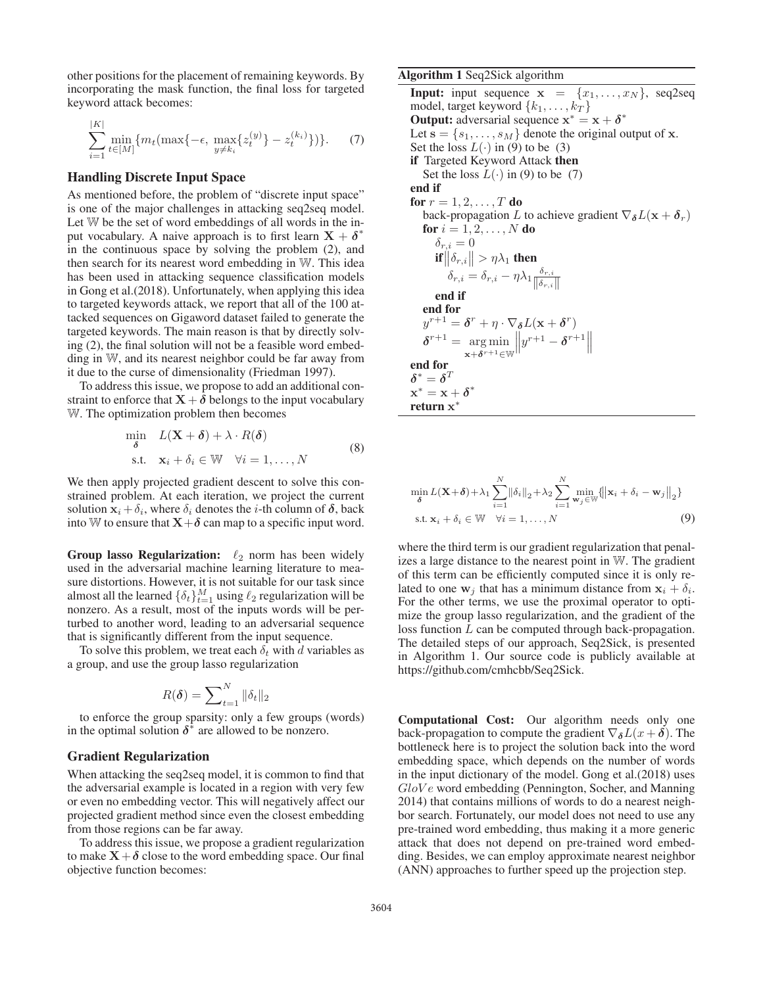other positions for the placement of remaining keywords. By incorporating the mask function, the final loss for targeted keyword attack becomes:

$$
\sum_{i=1}^{|K|} \min_{t \in [M]} \{ m_t(\max\{-\epsilon, \max_{y \neq k_i} \{z_t^{(y)}\} - z_t^{(k_i)}\}) \}.
$$
 (7)

# Handling Discrete Input Space

As mentioned before, the problem of "discrete input space" is one of the major challenges in attacking seq2seq model. Let W be the set of word embeddings of all words in the input vocabulary. A naive approach is to first learn  $X + \delta^*$ in the continuous space by solving the problem (2), and then search for its nearest word embedding in W. This idea has been used in attacking sequence classification models in Gong et al.(2018). Unfortunately, when applying this idea to targeted keywords attack, we report that all of the 100 attacked sequences on Gigaword dataset failed to generate the targeted keywords. The main reason is that by directly solving (2), the final solution will not be a feasible word embedding in W, and its nearest neighbor could be far away from it due to the curse of dimensionality (Friedman 1997).

To address this issue, we propose to add an additional constraint to enforce that  $X + \delta$  belongs to the input vocabulary W. The optimization problem then becomes

$$
\min_{\delta} L(\mathbf{X} + \delta) + \lambda \cdot R(\delta)
$$
  
s.t.  $\mathbf{x}_i + \delta_i \in \mathbb{W} \quad \forall i = 1, ..., N$  (8)

We then apply projected gradient descent to solve this constrained problem. At each iteration, we project the current solution  $\mathbf{x}_i + \delta_i$ , where  $\delta_i$  denotes the *i*-th column of  $\delta$ , back into W to ensure that  $X + \delta$  can map to a specific input word.

Group lasso Regularization:  $\ell_2$  norm has been widely used in the adversarial machine learning literature to measure distortions. However, it is not suitable for our task since almost all the learned  $\{\delta_t\}_{t=1}^M$  using  $\ell_2$  regularization will be nonzero. As a result, most of the inputs words will be perturbed to another word, leading to an adversarial sequence that is significantly different from the input sequence.

To solve this problem, we treat each  $\delta_t$  with d variables as a group, and use the group lasso regularization

$$
R(\boldsymbol{\delta}) = \sum\nolimits_{t=1}^{N} \|\delta_t\|_2
$$

to enforce the group sparsity: only a few groups (words) in the optimal solution  $\delta^*$  are allowed to be nonzero.

# Gradient Regularization

When attacking the seq2seq model, it is common to find that the adversarial example is located in a region with very few or even no embedding vector. This will negatively affect our projected gradient method since even the closest embedding from those regions can be far away.

To address this issue, we propose a gradient regularization to make  $X + \delta$  close to the word embedding space. Our final objective function becomes:

#### Algorithm 1 Seq2Sick algorithm

**Input:** input sequence  $\mathbf{x} = \{x_1, \ldots, x_N\}$ , seq2seq model, target keyword  $\{k_1, \ldots, k_T\}$ Output: adversarial sequence  $x^* = x + \delta^*$ Let  $\mathbf{s} = \{s_1, \ldots, s_M\}$  denote the original output of **x**. Set the loss  $L(\cdot)$  in (9) to be (3) if Targeted Keyword Attack then Set the loss  $L(\cdot)$  in (9) to be (7) end if for  $r = 1, 2, \ldots, T$  do back-propagation L to achieve gradient  $\nabla_{\delta}L(\mathbf{x} + \delta_r)$ **for**  $i = 1, 2, ..., N$  **do**<br> $\delta_{r,i} = 0$  $\begin{array}{l} \delta_{r,i} = 0 \ \ \hbox{if} \left\| \delta_{r,i} \right\| > \eta \lambda_1 \text{ then} \end{array}$  $\delta_{r,i} = \delta_{r,i} - \eta \lambda_1 \frac{\delta_{r,i}}{\|\delta_{r,i}\|}$  $\|\delta_{r,i}\|$ end if end for  $y^{r+1} = \boldsymbol{\delta}^r + \eta \cdot \nabla_{\boldsymbol{\delta}} L(\mathbf{x} + \boldsymbol{\delta}^r)$  $\delta^{r+1} = \underset{\mathbf{x}+\delta^{r+1} \in \mathbb{W}}{\arg \min} \left\| y^{r+1} - \delta^{r+1} \right\|$ end for  $\delta^* = \delta^T$  $\mathbf{x}^* = \mathbf{x} + \boldsymbol{\delta}^*$ return **x**<sup>∗</sup>

$$
\min_{\delta} L(\mathbf{X}+\delta) + \lambda_1 \sum_{i=1}^{N} \|\delta_i\|_2 + \lambda_2 \sum_{i=1}^{N} \min_{\mathbf{w}_j \in \mathbb{W}} \{ \|\mathbf{x}_i + \delta_i - \mathbf{w}_j\|_2 \}
$$
  
s.t.  $\mathbf{x}_i + \delta_i \in \mathbb{W} \quad \forall i = 1, ..., N$  (9)

where the third term is our gradient regularization that penalizes a large distance to the nearest point in W. The gradient of this term can be efficiently computed since it is only related to one  $w_i$  that has a minimum distance from  $x_i + \delta_i$ . For the other terms, we use the proximal operator to optimize the group lasso regularization, and the gradient of the loss function L can be computed through back-propagation. The detailed steps of our approach, Seq2Sick, is presented in Algorithm 1. Our source code is publicly available at https://github.com/cmhcbb/Seq2Sick.

Computational Cost: Our algorithm needs only one back-propagation to compute the gradient  $\nabla_{\delta}L(x+\delta)$ . The bottleneck here is to project the solution back into the word embedding space, which depends on the number of words in the input dictionary of the model. Gong et al.(2018) uses  $GloVe$  word embedding (Pennington, Socher, and Manning 2014) that contains millions of words to do a nearest neighbor search. Fortunately, our model does not need to use any pre-trained word embedding, thus making it a more generic attack that does not depend on pre-trained word embedding. Besides, we can employ approximate nearest neighbor (ANN) approaches to further speed up the projection step.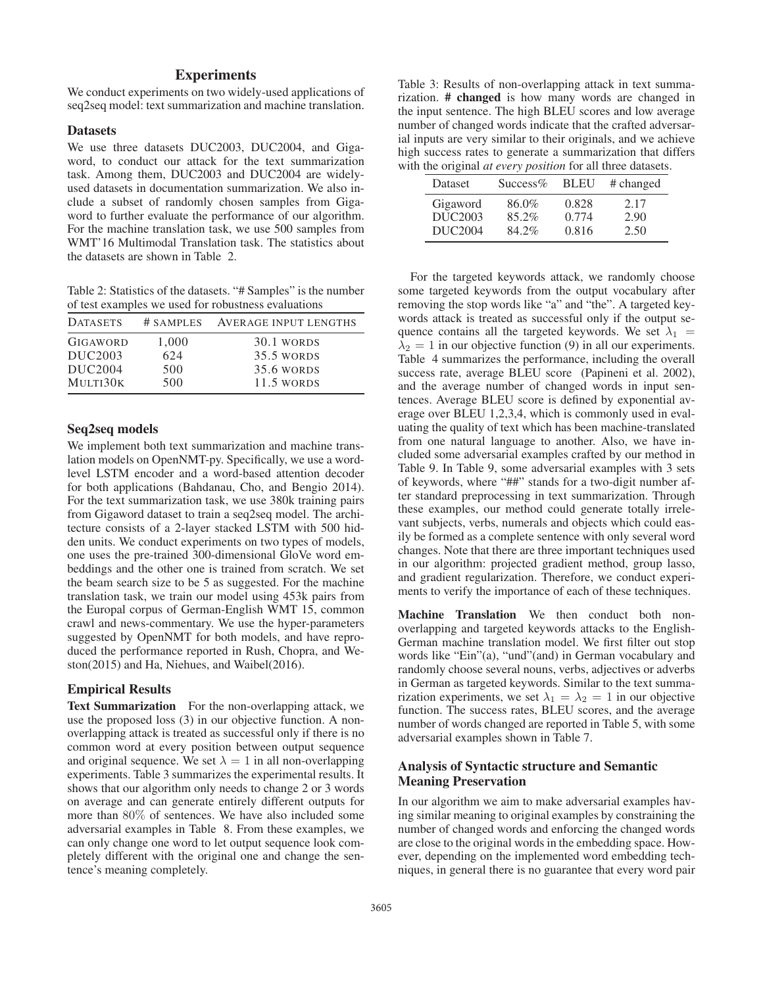# **Experiments**

We conduct experiments on two widely-used applications of seq2seq model: text summarization and machine translation.

#### Datasets

We use three datasets DUC2003, DUC2004, and Gigaword, to conduct our attack for the text summarization task. Among them, DUC2003 and DUC2004 are widelyused datasets in documentation summarization. We also include a subset of randomly chosen samples from Gigaword to further evaluate the performance of our algorithm. For the machine translation task, we use 500 samples from WMT'16 Multimodal Translation task. The statistics about the datasets are shown in Table 2.

Table 2: Statistics of the datasets. "# Samples" is the number of test examples we used for robustness evaluations

| <b>DATASETS</b> |       | # SAMPLES AVERAGE INPUT LENGTHS |
|-----------------|-------|---------------------------------|
| <b>GIGAWORD</b> | 1.000 | 30.1 WORDS                      |
| DUC2003         | 624   | 35.5 WORDS                      |
| DUC2004         | 500   | 35.6 WORDS                      |
| MULTI30K        | 500   | 11.5 WORDS                      |

# Seq2seq models

We implement both text summarization and machine translation models on OpenNMT-py. Specifically, we use a wordlevel LSTM encoder and a word-based attention decoder for both applications (Bahdanau, Cho, and Bengio 2014). For the text summarization task, we use 380k training pairs from Gigaword dataset to train a seq2seq model. The architecture consists of a 2-layer stacked LSTM with 500 hidden units. We conduct experiments on two types of models, one uses the pre-trained 300-dimensional GloVe word embeddings and the other one is trained from scratch. We set the beam search size to be 5 as suggested. For the machine translation task, we train our model using 453k pairs from the Europal corpus of German-English WMT 15, common crawl and news-commentary. We use the hyper-parameters suggested by OpenNMT for both models, and have reproduced the performance reported in Rush, Chopra, and Weston(2015) and Ha, Niehues, and Waibel(2016).

### Empirical Results

Text Summarization For the non-overlapping attack, we use the proposed loss (3) in our objective function. A nonoverlapping attack is treated as successful only if there is no common word at every position between output sequence and original sequence. We set  $\lambda = 1$  in all non-overlapping experiments. Table 3 summarizes the experimental results. It shows that our algorithm only needs to change 2 or 3 words on average and can generate entirely different outputs for more than 80% of sentences. We have also included some adversarial examples in Table 8. From these examples, we can only change one word to let output sequence look completely different with the original one and change the sentence's meaning completely.

Table 3: Results of non-overlapping attack in text summarization. # changed is how many words are changed in the input sentence. The high BLEU scores and low average number of changed words indicate that the crafted adversarial inputs are very similar to their originals, and we achieve high success rates to generate a summarization that differs with the original *at every position* for all three datasets.

| <b>Dataset</b>      | $Success\%$ | <b>BLEU</b> | # changed |
|---------------------|-------------|-------------|-----------|
| Gigaword            | 86.0%       | 0.828       | 2.17      |
| DUC <sub>2003</sub> | 85.2%       | 0.774       | 2.90      |
| DUC <sub>2004</sub> | 84.2%       | 0.816       | 2.50      |

For the targeted keywords attack, we randomly choose some targeted keywords from the output vocabulary after removing the stop words like "a" and "the". A targeted keywords attack is treated as successful only if the output sequence contains all the targeted keywords. We set  $\lambda_1$  =  $\lambda_2 = 1$  in our objective function (9) in all our experiments. Table 4 summarizes the performance, including the overall success rate, average BLEU score (Papineni et al. 2002), and the average number of changed words in input sentences. Average BLEU score is defined by exponential average over BLEU 1,2,3,4, which is commonly used in evaluating the quality of text which has been machine-translated from one natural language to another. Also, we have included some adversarial examples crafted by our method in Table 9. In Table 9, some adversarial examples with 3 sets of keywords, where "##" stands for a two-digit number after standard preprocessing in text summarization. Through these examples, our method could generate totally irrelevant subjects, verbs, numerals and objects which could easily be formed as a complete sentence with only several word changes. Note that there are three important techniques used in our algorithm: projected gradient method, group lasso, and gradient regularization. Therefore, we conduct experiments to verify the importance of each of these techniques.

Machine Translation We then conduct both nonoverlapping and targeted keywords attacks to the English-German machine translation model. We first filter out stop words like "Ein"(a), "und"(and) in German vocabulary and randomly choose several nouns, verbs, adjectives or adverbs in German as targeted keywords. Similar to the text summarization experiments, we set  $\lambda_1 = \lambda_2 = 1$  in our objective function. The success rates, BLEU scores, and the average number of words changed are reported in Table 5, with some adversarial examples shown in Table 7.

# Analysis of Syntactic structure and Semantic Meaning Preservation

In our algorithm we aim to make adversarial examples having similar meaning to original examples by constraining the number of changed words and enforcing the changed words are close to the original words in the embedding space. However, depending on the implemented word embedding techniques, in general there is no guarantee that every word pair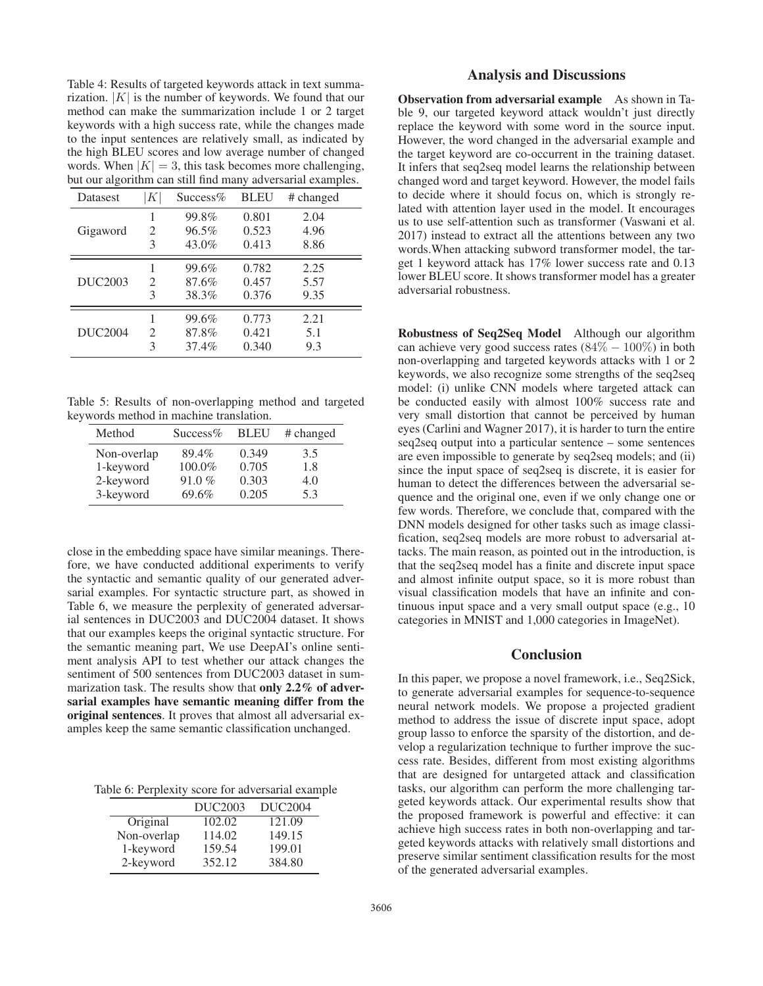Table 4: Results of targeted keywords attack in text summarization.  $|K|$  is the number of keywords. We found that our method can make the summarization include 1 or 2 target keywords with a high success rate, while the changes made to the input sentences are relatively small, as indicated by the high BLEU scores and low average number of changed words. When  $|K| = 3$ , this task becomes more challenging, but our algorithm can still find many adversarial examples.

| ັ<br><b>Datasest</b> | $K\vert$                    | $Success\%$ | ╯<br><b>BLEU</b> | # changed |
|----------------------|-----------------------------|-------------|------------------|-----------|
|                      |                             | 99.8%       | 0.801            | 2.04      |
| Gigaword             | 2                           | 96.5%       | 0.523            | 4.96      |
|                      | 3                           | 43.0%       | 0.413            | 8.86      |
|                      |                             | 99.6%       | 0.782            | 2.25      |
| DUC <sub>2003</sub>  | $\mathcal{D}_{\mathcal{L}}$ | 87.6%       | 0.457            | 5.57      |
|                      | 3                           | 38.3%       | 0.376            | 9.35      |
|                      |                             | 99.6%       | 0.773            | 2.21      |
| <b>DUC2004</b>       | $\mathcal{D}_{\mathcal{L}}$ | 87.8%       | 0.421            | 5.1       |
|                      | 3                           | 37.4%       | 0.340            | 9.3       |

Table 5: Results of non-overlapping method and targeted keywords method in machine translation.

| Method      | $Success\%$ | <b>BLEU</b> | # changed |
|-------------|-------------|-------------|-----------|
| Non-overlap | 89.4%       | 0.349       | 3.5       |
| 1-keyword   | 100.0%      | 0.705       | 1.8       |
| 2-keyword   | 91.0%       | 0.303       | 4.0       |
| 3-keyword   | 69.6%       | 0.205       | 5.3       |

close in the embedding space have similar meanings. Therefore, we have conducted additional experiments to verify the syntactic and semantic quality of our generated adversarial examples. For syntactic structure part, as showed in Table 6, we measure the perplexity of generated adversarial sentences in DUC2003 and DUC2004 dataset. It shows that our examples keeps the original syntactic structure. For the semantic meaning part, We use DeepAI's online sentiment analysis API to test whether our attack changes the sentiment of 500 sentences from DUC2003 dataset in summarization task. The results show that only 2.2% of adversarial examples have semantic meaning differ from the original sentences. It proves that almost all adversarial examples keep the same semantic classification unchanged.

Table 6: Perplexity score for adversarial example

|             | DUC <sub>2003</sub> | DUC <sub>2004</sub> |
|-------------|---------------------|---------------------|
| Original    | 102.02              | 121.09              |
| Non-overlap | 114.02              | 149.15              |
| 1-keyword   | 159.54              | 199.01              |
| 2-keyword   | 352.12              | 384.80              |

# Analysis and Discussions

Observation from adversarial example As shown in Table 9, our targeted keyword attack wouldn't just directly replace the keyword with some word in the source input. However, the word changed in the adversarial example and the target keyword are co-occurrent in the training dataset. It infers that seq2seq model learns the relationship between changed word and target keyword. However, the model fails to decide where it should focus on, which is strongly related with attention layer used in the model. It encourages us to use self-attention such as transformer (Vaswani et al. 2017) instead to extract all the attentions between any two words.When attacking subword transformer model, the target 1 keyword attack has 17% lower success rate and 0.13 lower BLEU score. It shows transformer model has a greater adversarial robustness.

Robustness of Seq2Seq Model Although our algorithm can achieve very good success rates  $(84\% - 100\%)$  in both non-overlapping and targeted keywords attacks with 1 or 2 keywords, we also recognize some strengths of the seq2seq model: (i) unlike CNN models where targeted attack can be conducted easily with almost 100% success rate and very small distortion that cannot be perceived by human eyes (Carlini and Wagner 2017), it is harder to turn the entire seq2seq output into a particular sentence – some sentences are even impossible to generate by seq2seq models; and (ii) since the input space of seq2seq is discrete, it is easier for human to detect the differences between the adversarial sequence and the original one, even if we only change one or few words. Therefore, we conclude that, compared with the DNN models designed for other tasks such as image classification, seq2seq models are more robust to adversarial attacks. The main reason, as pointed out in the introduction, is that the seq2seq model has a finite and discrete input space and almost infinite output space, so it is more robust than visual classification models that have an infinite and continuous input space and a very small output space (e.g., 10 categories in MNIST and 1,000 categories in ImageNet).

# Conclusion

In this paper, we propose a novel framework, i.e., Seq2Sick, to generate adversarial examples for sequence-to-sequence neural network models. We propose a projected gradient method to address the issue of discrete input space, adopt group lasso to enforce the sparsity of the distortion, and develop a regularization technique to further improve the success rate. Besides, different from most existing algorithms that are designed for untargeted attack and classification tasks, our algorithm can perform the more challenging targeted keywords attack. Our experimental results show that the proposed framework is powerful and effective: it can achieve high success rates in both non-overlapping and targeted keywords attacks with relatively small distortions and preserve similar sentiment classification results for the most of the generated adversarial examples.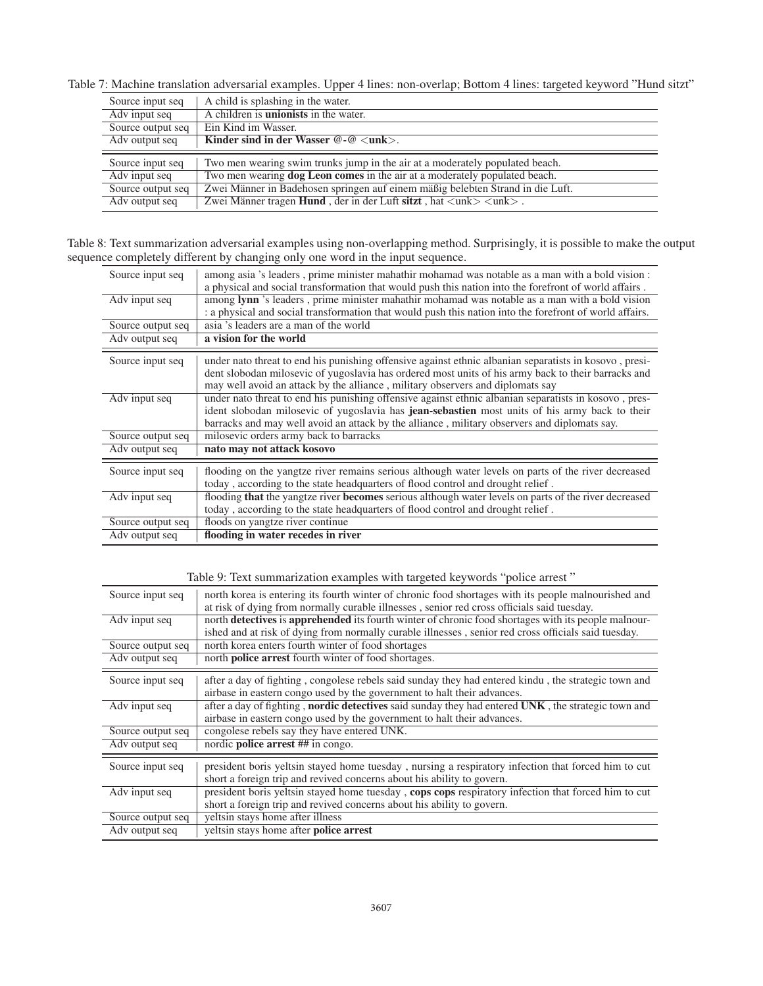Table 7: Machine translation adversarial examples. Upper 4 lines: non-overlap; Bottom 4 lines: targeted keyword "Hund sitzt"

| Source input seq                  | A child is splashing in the water.                                                                                                                                |
|-----------------------------------|-------------------------------------------------------------------------------------------------------------------------------------------------------------------|
| Adv input seq                     | A children is <b>unionists</b> in the water.                                                                                                                      |
| Source output seq                 | Ein Kind im Wasser.                                                                                                                                               |
| Adv output seq                    | Kinder sind in der Wasser $@$ - $@$ $<$ unk $>$ .                                                                                                                 |
|                                   |                                                                                                                                                                   |
|                                   |                                                                                                                                                                   |
| Source input seq<br>Adv input seq | Two men wearing swim trunks jump in the air at a moderately populated beach.<br>Two men wearing <b>dog Leon comes</b> in the air at a moderately populated beach. |
| Source output seq                 | Zwei Männer in Badehosen springen auf einem mäßig belebten Strand in die Luft.                                                                                    |

Table 8: Text summarization adversarial examples using non-overlapping method. Surprisingly, it is possible to make the output sequence completely different by changing only one word in the input sequence.

| Source input seq  | among asia 's leaders, prime minister mahathir mohamad was notable as a man with a bold vision :<br>a physical and social transformation that would push this nation into the forefront of world affairs.                                                                                                      |
|-------------------|----------------------------------------------------------------------------------------------------------------------------------------------------------------------------------------------------------------------------------------------------------------------------------------------------------------|
| Adv input seq     | among lynn's leaders, prime minister mahathir mohamad was notable as a man with a bold vision<br>: a physical and social transformation that would push this nation into the forefront of world affairs.                                                                                                       |
| Source output seq | asia 's leaders are a man of the world                                                                                                                                                                                                                                                                         |
| Adv output seq    | a vision for the world                                                                                                                                                                                                                                                                                         |
| Source input seq  | under nato threat to end his punishing offensive against ethnic albanian separatists in kosovo, presi-<br>dent slobodan milosevic of yugoslavia has ordered most units of his army back to their barracks and<br>may well avoid an attack by the alliance, military observers and diplomats say                |
| Adv input seq     | under nato threat to end his punishing offensive against ethnic albanian separatists in kosovo, pres-<br>ident slobodan milosevic of yugoslavia has <b>jean-sebastien</b> most units of his army back to their<br>barracks and may well avoid an attack by the alliance, military observers and diplomats say. |
| Source output seq | milosevic orders army back to barracks                                                                                                                                                                                                                                                                         |
| Adv output seq    | nato may not attack kosovo                                                                                                                                                                                                                                                                                     |
| Source input seq  | flooding on the yangtze river remains serious although water levels on parts of the river decreased<br>today, according to the state headquarters of flood control and drought relief.                                                                                                                         |
| Adv input seq     | flooding that the yangtze river becomes serious although water levels on parts of the river decreased<br>today, according to the state headquarters of flood control and drought relief.                                                                                                                       |
| Source output seq | floods on yangtze river continue                                                                                                                                                                                                                                                                               |
| Adv output seq    | flooding in water recedes in river                                                                                                                                                                                                                                                                             |

Table 9: Text summarization examples with targeted keywords "police arrest "

| Source input seq  | north korea is entering its fourth winter of chronic food shortages with its people malnourished and<br>at risk of dying from normally curable illnesses, senior red cross officials said tuesday.           |
|-------------------|--------------------------------------------------------------------------------------------------------------------------------------------------------------------------------------------------------------|
| Adv input seq     | north detectives is apprehended its fourth winter of chronic food shortages with its people malnour-<br>ished and at risk of dying from normally curable illnesses, senior red cross officials said tuesday. |
| Source output seq | north korea enters fourth winter of food shortages                                                                                                                                                           |
| Adv output seq    | north <b>police arrest</b> fourth winter of food shortages.                                                                                                                                                  |
| Source input seq  | after a day of fighting, congolese rebels said sunday they had entered kindu, the strategic town and<br>airbase in eastern congo used by the government to halt their advances.                              |
| Adv input seq     | after a day of fighting, <b>nordic detectives</b> said sunday they had entered UNK, the strategic town and<br>airbase in eastern congo used by the government to halt their advances.                        |
| Source output seq | congolese rebels say they have entered UNK.                                                                                                                                                                  |
| Adv output seq    | nordic <b>police arrest</b> ## in congo.                                                                                                                                                                     |
| Source input seq  | president boris yeltsin stayed home tuesday, nursing a respiratory infection that forced him to cut<br>short a foreign trip and revived concerns about his ability to govern.                                |
| Adv input seq     | president boris yeltsin stayed home tuesday, cops cops respiratory infection that forced him to cut                                                                                                          |
|                   | short a foreign trip and revived concerns about his ability to govern.                                                                                                                                       |
| Source output seq | veltsin stays home after illness                                                                                                                                                                             |
| Adv output seq    | veltsin stays home after <b>police arrest</b>                                                                                                                                                                |